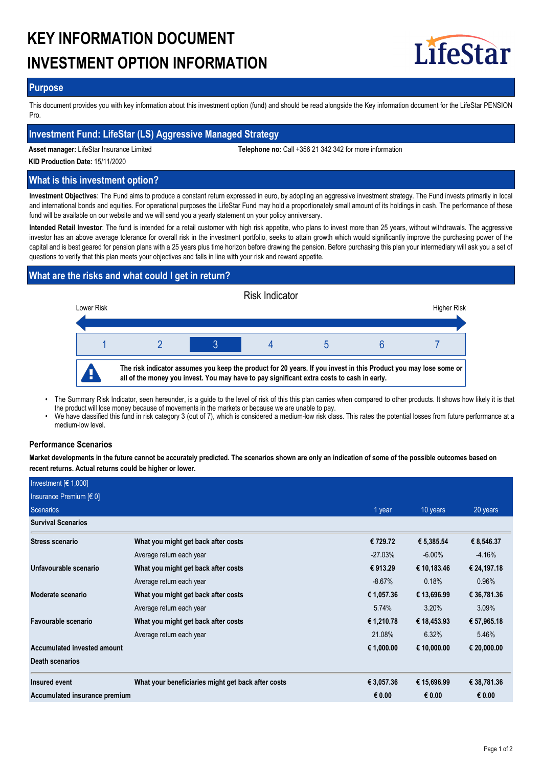# **KEY INFORMATION DOCUMENT INVESTMENT OPTION INFORMATION**



## **Purpose**

This document provides you with key information about this investment option (fund) and should be read alongside the Key information document for the LifeStar PENSION Pro.

## **Investment Fund: LifeStar (LS) Aggressive Managed Strategy**

**Asset manager:** LifeStar Insurance Limited **Telephone no:** Call +356 21 342 342 for more information

**KID Production Date:** 15/11/2020

## **What is this investment option?**

**Investment Objectives**: The Fund aims to produce a constant return expressed in euro, by adopting an aggressive investment strategy. The Fund invests primarily in local and international bonds and equities. For operational purposes the LifeStar Fund may hold a proportionately small amount of its holdings in cash. The performance of these fund will be available on our website and we will send you a yearly statement on your policy anniversary.

**Intended Retail Investor**: The fund is intended for a retail customer with high risk appetite, who plans to invest more than 25 years, without withdrawals. The aggressive investor has an above average tolerance for overall risk in the investment portfolio, seeks to attain growth which would significantly improve the purchasing power of the capital and is best geared for pension plans with a 25 years plus time horizon before drawing the pension. Before purchasing this plan your intermediary will ask you a set of questions to verify that this plan meets your objectives and falls in line with your risk and reward appetite.

# **What are the risks and what could I get in return?**



- The Summary Risk Indicator, seen hereunder, is a guide to the level of risk of this this plan carries when compared to other products. It shows how likely it is that the product will lose money because of movements in the markets or because we are unable to pay. •
- We have classified this fund in risk category 3 (out of 7), which is considered a medium-low risk class. This rates the potential losses from future performance at a medium-low level. •

## **Performance Scenarios**

**Market developments in the future cannot be accurately predicted. The scenarios shown are only an indication of some of the possible outcomes based on recent returns. Actual returns could be higher or lower.**

| Investment $[6 1,000]$        |                                                    |            |             |             |
|-------------------------------|----------------------------------------------------|------------|-------------|-------------|
| Insurance Premium $[6 0]$     |                                                    |            |             |             |
| Scenarios                     |                                                    | 1 year     | 10 years    | 20 years    |
| <b>Survival Scenarios</b>     |                                                    |            |             |             |
| <b>Stress scenario</b>        | What you might get back after costs                | € 729.72   | € 5,385.54  | € 8,546.37  |
|                               | Average return each year                           | $-27.03\%$ | $-6.00\%$   | $-4.16%$    |
| Unfavourable scenario         | What you might get back after costs                | € 913.29   | € 10,183.46 | € 24,197.18 |
|                               | Average return each year                           | $-8.67%$   | 0.18%       | 0.96%       |
| Moderate scenario             | What you might get back after costs                | € 1,057.36 | € 13,696.99 | € 36,781.36 |
|                               | Average return each year                           | 5.74%      | 3.20%       | 3.09%       |
| Favourable scenario           | What you might get back after costs                | € 1,210.78 | € 18,453.93 | € 57,965.18 |
|                               | Average return each year                           | 21.08%     | 6.32%       | 5.46%       |
| Accumulated invested amount   |                                                    | € 1,000.00 | € 10,000.00 | € 20,000.00 |
| <b>Death scenarios</b>        |                                                    |            |             |             |
| Insured event                 | What your beneficiaries might get back after costs | € 3,057.36 | € 15,696.99 | € 38,781.36 |
| Accumulated insurance premium |                                                    | € 0.00     | € 0.00      | € 0.00      |